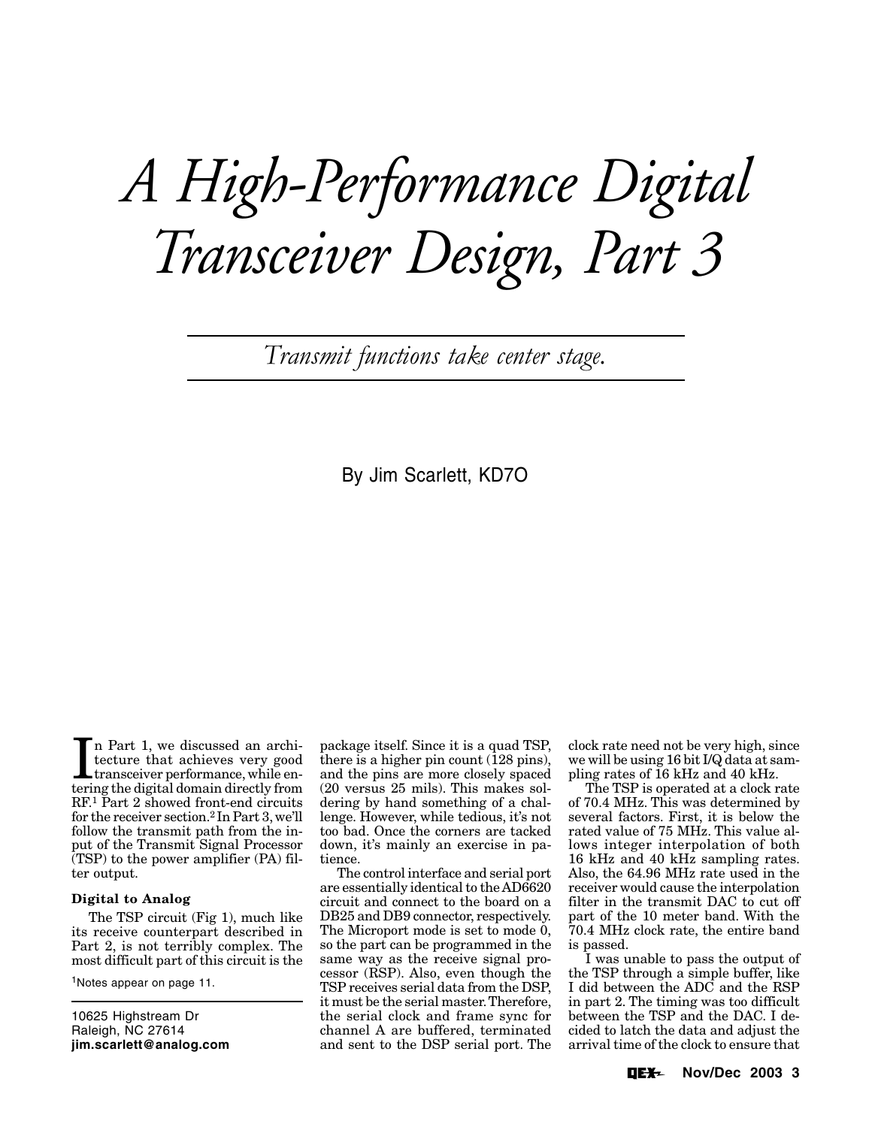# *A High-Performance Digital Transceiver Design, Part 3*

*Transmit functions take center stage.*

By Jim Scarlett, KD7O

In Part 1, we discussed an architecture that achieves very good transceiver performance, while entering the digital domain directly from n Part 1, we discussed an architecture that achieves very good transceiver performance, while en-RF.1 Part 2 showed front-end circuits for the receiver section.2 In Part 3, we'll follow the transmit path from the input of the Transmit Signal Processor (TSP) to the power amplifier (PA) filter output.

# **Digital to Analog**

The TSP circuit (Fig 1), much like its receive counterpart described in Part 2, is not terribly complex. The most difficult part of this circuit is the

1Notes appear on page 11.

10625 Highstream Dr Raleigh, NC 27614 **jim.scarlett@analog.com** package itself. Since it is a quad TSP, there is a higher pin count  $(128 \text{ pins})$ , and the pins are more closely spaced (20 versus 25 mils). This makes soldering by hand something of a challenge. However, while tedious, it's not too bad. Once the corners are tacked down, it's mainly an exercise in patience.

The control interface and serial port are essentially identical to the AD6620 circuit and connect to the board on a DB25 and DB9 connector, respectively. The Microport mode is set to mode 0, so the part can be programmed in the same way as the receive signal processor (RSP). Also, even though the TSP receives serial data from the DSP, it must be the serial master.Therefore, the serial clock and frame sync for channel A are buffered, terminated and sent to the DSP serial port. The

clock rate need not be very high, since we will be using 16 bit I/Q data at sampling rates of 16 kHz and 40 kHz.

The TSP is operated at a clock rate of 70.4 MHz. This was determined by several factors. First, it is below the rated value of 75 MHz. This value allows integer interpolation of both 16 kHz and 40 kHz sampling rates. Also, the 64.96 MHz rate used in the receiver would cause the interpolation filter in the transmit DAC to cut off part of the 10 meter band. With the 70.4 MHz clock rate, the entire band is passed.

I was unable to pass the output of the TSP through a simple buffer, like I did between the ADC and the RSP in part 2. The timing was too difficult between the TSP and the DAC. I decided to latch the data and adjust the arrival time of the clock to ensure that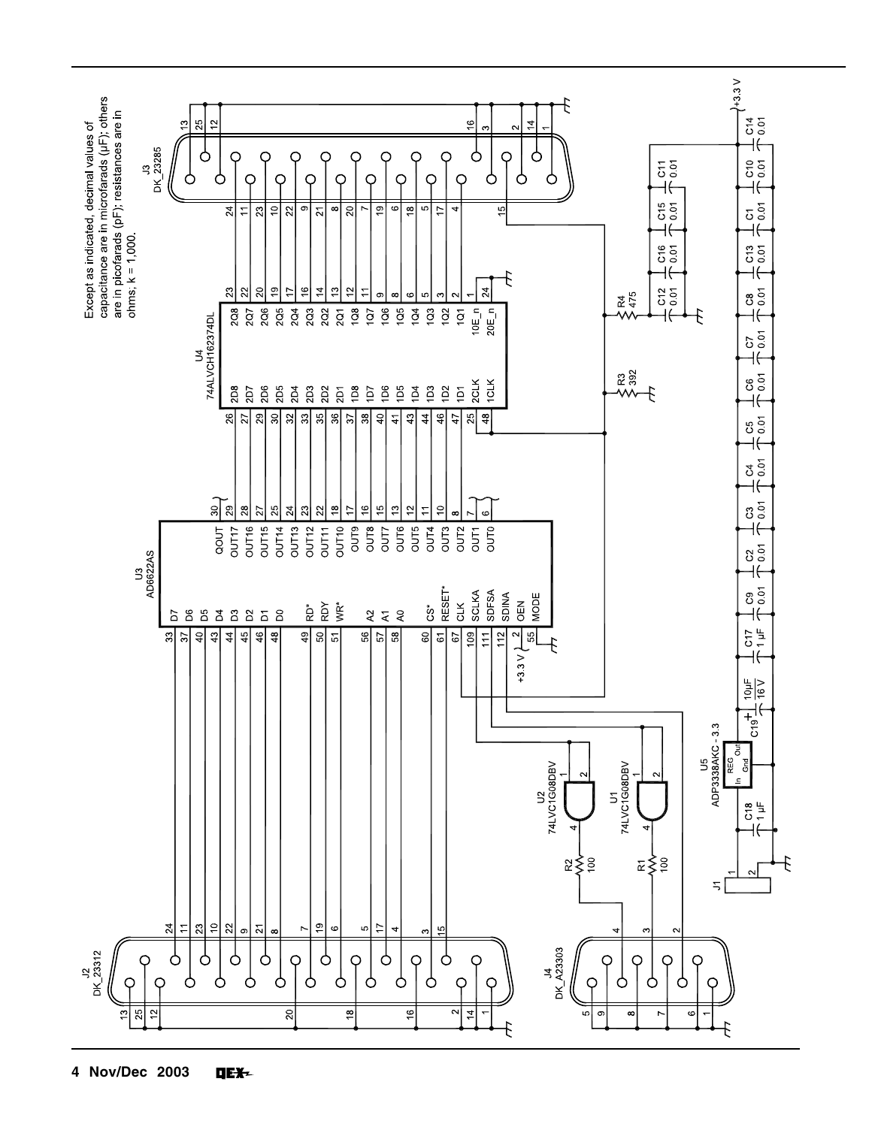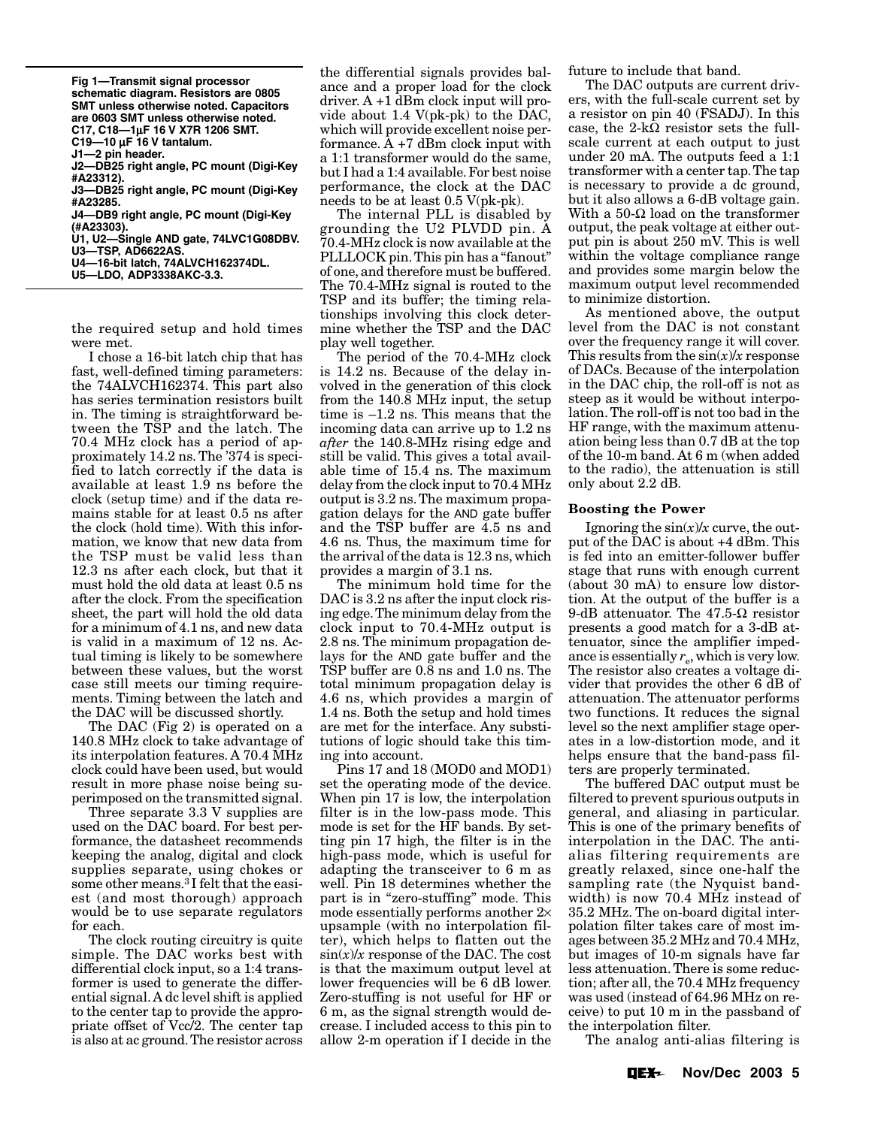μ **C17, C18—1**μ**F 16 V X7R 1206 SMT.**  μ **C19—10** μ**F 16 V tantalum. Fig 1—Transmit signal processor schematic diagram. Resistors are 0805 SMT unless otherwise noted. Capacitors are 0603 SMT unless otherwise noted. J1—2 pin header. J2—DB25 right angle, PC mount (Digi-Key #A23312). J3—DB25 right angle, PC mount (Digi-Key #A23285. J4—DB9 right angle, PC mount (Digi-Key (#A23303). U1, U2—Single AND gate, 74LVC1G08DBV. U3—TSP, AD6622AS. U4—16-bit latch, 74ALVCH162374DL. U5—LDO, ADP3338AKC-3.3.** 

the required setup and hold times were met.

I chose a 16-bit latch chip that has fast, well-defined timing parameters: the 74ALVCH162374. This part also has series termination resistors built in. The timing is straightforward between the TSP and the latch. The 70.4 MHz clock has a period of approximately 14.2 ns. The '374 is specified to latch correctly if the data is available at least 1.9 ns before the clock (setup time) and if the data remains stable for at least 0.5 ns after the clock (hold time). With this information, we know that new data from the TSP must be valid less than 12.3 ns after each clock, but that it must hold the old data at least 0.5 ns after the clock. From the specification sheet, the part will hold the old data for a minimum of 4.1 ns, and new data is valid in a maximum of 12 ns. Actual timing is likely to be somewhere between these values, but the worst case still meets our timing requirements. Timing between the latch and the DAC will be discussed shortly.

The DAC (Fig 2) is operated on a 140.8 MHz clock to take advantage of its interpolation features. A 70.4 MHz clock could have been used, but would result in more phase noise being superimposed on the transmitted signal.

Three separate 3.3 V supplies are used on the DAC board. For best performance, the datasheet recommends keeping the analog, digital and clock supplies separate, using chokes or some other means.3 I felt that the easiest (and most thorough) approach would be to use separate regulators for each.

The clock routing circuitry is quite simple. The DAC works best with differential clock input, so a 1:4 transformer is used to generate the differential signal. A dc level shift is applied to the center tap to provide the appropriate offset of Vcc/2. The center tap is also at ac ground.The resistor across the differential signals provides balance and a proper load for the clock driver. A +1 dBm clock input will provide about 1.4 V(pk-pk) to the DAC, which will provide excellent noise performance.  $\overline{A}$  +7 dBm clock input with a 1:1 transformer would do the same, but I had a 1:4 available.For best noise performance, the clock at the DAC needs to be at least 0.5 V(pk-pk).

The internal PLL is disabled by grounding the U2 PLVDD pin. A 70.4-MHz clock is now available at the PLLLOCK pin.This pin has a "fanout" of one, and therefore must be buffered. The 70.4-MHz signal is routed to the TSP and its buffer; the timing relationships involving this clock determine whether the TSP and the DAC play well together.

The period of the 70.4-MHz clock is 14.2 ns. Because of the delay involved in the generation of this clock from the 140.8 MHz input, the setup time is –1.2 ns. This means that the incoming data can arrive up to 1.2 ns *after* the 140.8-MHz rising edge and still be valid. This gives a total available time of 15.4 ns. The maximum delay from the clock input to 70.4 MHz output is 3.2 ns. The maximum propagation delays for the AND gate buffer and the TSP buffer are 4.5 ns and 4.6 ns. Thus, the maximum time for the arrival of the data is 12.3 ns, which provides a margin of 3.1 ns.

The minimum hold time for the DAC is 3.2 ns after the input clock rising edge.The minimum delay from the clock input to 70.4-MHz output is 2.8 ns. The minimum propagation delays for the AND gate buffer and the TSP buffer are 0.8 ns and 1.0 ns. The total minimum propagation delay is 4.6 ns, which provides a margin of 1.4 ns. Both the setup and hold times are met for the interface. Any substitutions of logic should take this timing into account.

Pins 17 and 18 (MOD0 and MOD1) set the operating mode of the device. When pin 17 is low, the interpolation filter is in the low-pass mode. This mode is set for the HF bands. By setting pin 17 high, the filter is in the high-pass mode, which is useful for adapting the transceiver to 6 m as well. Pin 18 determines whether the part is in "zero-stuffing" mode. This mode essentially performs another 2× upsample (with no interpolation filter), which helps to flatten out the  $\sin(x)/x$  response of the DAC. The cost is that the maximum output level at lower frequencies will be 6 dB lower. Zero-stuffing is not useful for HF or 6 m, as the signal strength would decrease. I included access to this pin to allow 2-m operation if I decide in the

future to include that band.

The DAC outputs are current drivers, with the full-scale current set by a resistor on pin 40 (FSADJ). In this case, the  $2-k\Omega$  resistor sets the fullscale current at each output to just under 20 mA. The outputs feed a 1:1 transformer with a center tap.The tap is necessary to provide a dc ground, but it also allows a 6-dB voltage gain. With a 50- $\Omega$  load on the transformer output, the peak voltage at either output pin is about 250 mV. This is well within the voltage compliance range and provides some margin below the maximum output level recommended to minimize distortion.

As mentioned above, the output level from the DAC is not constant over the frequency range it will cover. This results from the sin(*x*)/*x* response of DACs. Because of the interpolation in the DAC chip, the roll-off is not as steep as it would be without interpolation. The roll-off is not too bad in the HF range, with the maximum attenuation being less than 0.7 dB at the top of the 10-m band. At 6 m (when added to the radio), the attenuation is still only about 2.2 dB.

#### **Boosting the Power**

Ignoring the sin(*x*)/*x* curve, the output of the DAC is about +4 dBm. This is fed into an emitter-follower buffer stage that runs with enough current (about 30 mA) to ensure low distortion. At the output of the buffer is a 9-dB attenuator. The 47.5-Ω resistor presents a good match for a 3-dB attenuator, since the amplifier impedance is essentially  $r_e$ , which is very low. The resistor also creates a voltage divider that provides the other 6 dB of attenuation. The attenuator performs two functions. It reduces the signal level so the next amplifier stage operates in a low-distortion mode, and it helps ensure that the band-pass filters are properly terminated.

The buffered DAC output must be filtered to prevent spurious outputs in general, and aliasing in particular. This is one of the primary benefits of interpolation in the DAC. The antialias filtering requirements are greatly relaxed, since one-half the sampling rate (the Nyquist bandwidth) is now 70.4 MHz instead of 35.2 MHz. The on-board digital interpolation filter takes care of most images between 35.2 MHz and 70.4 MHz, but images of 10-m signals have far less attenuation. There is some reduction; after all, the 70.4 MHz frequency was used (instead of 64.96 MHz on receive) to put 10 m in the passband of the interpolation filter.

The analog anti-alias filtering is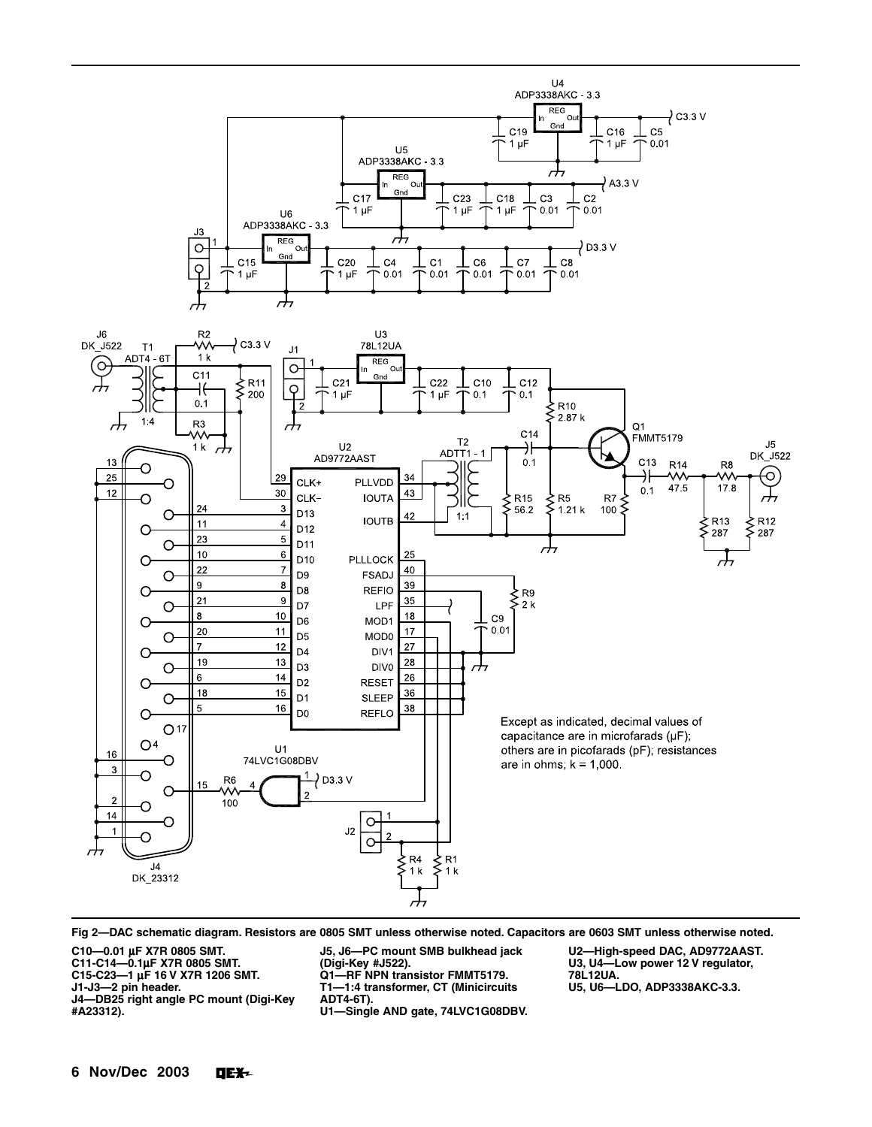

**Fig 2—DAC schematic diagram. Resistors are 0805 SMT unless otherwise noted. Capacitors are 0603 SMT unless otherwise noted.**

**C10—0.01** μ**F X7R 0805 SMT.**

**C11-C14—0.1**μ**F X7R 0805 SMT.**

**C15-C23—1** μ**F 16 V X7R 1206 SMT. J1-J3—2 pin header.**

**J4—DB25 right angle PC mount (Digi-Key #A23312).**

**J5, J6—PC mount SMB bulkhead jack**

**(Digi-Key #J522). Q1—RF NPN transistor FMMT5179. T1—1:4 transformer, CT (Minicircuits ADT4-6T).**

**U1—Single AND gate, 74LVC1G08DBV.**

**U2—High-speed DAC, AD9772AAST. U3, U4—Low power 12 V regulator, 78L12UA. U5, U6—LDO, ADP3338AKC-3.3.**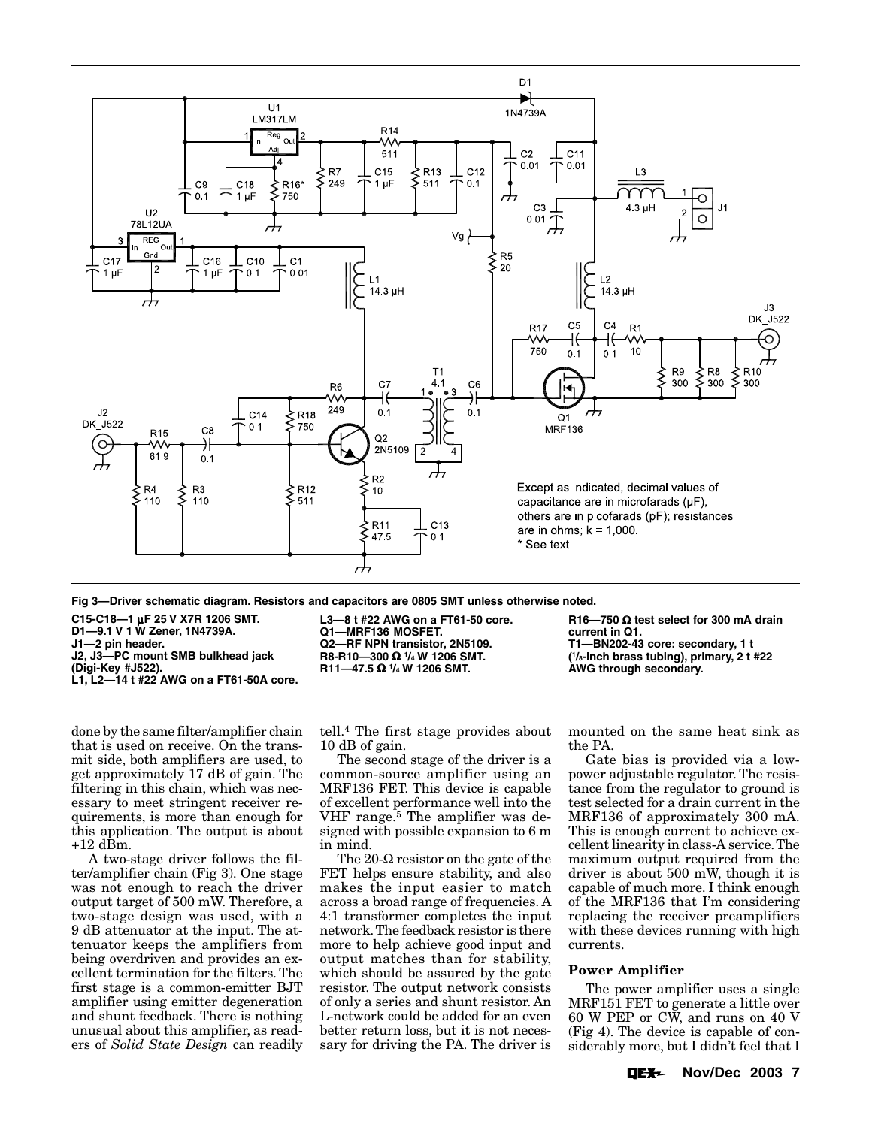

**Fig 3—Driver schematic diagram. Resistors and capacitors are 0805 SMT unless otherwise noted.**

**C15-C18—1** μ**F 25 V X7R 1206 SMT.**

**D1—9.1 V 1 W Zener, 1N4739A.**

**J1—2 pin header.**

**J2, J3—PC mount SMB bulkhead jack**

**(Digi-Key #J522).**

**L1, L2—14 t #22 AWG on a FT61-50A core.**

done by the same filter/amplifier chain that is used on receive. On the transmit side, both amplifiers are used, to get approximately 17 dB of gain. The filtering in this chain, which was necessary to meet stringent receiver requirements, is more than enough for this application. The output is about  $+12$  d $\overline{\text{B}}\text{m}$ .

A two-stage driver follows the filter/amplifier chain (Fig 3). One stage was not enough to reach the driver output target of 500 mW. Therefore, a two-stage design was used, with a 9 dB attenuator at the input. The attenuator keeps the amplifiers from being overdriven and provides an excellent termination for the filters. The first stage is a common-emitter BJT amplifier using emitter degeneration and shunt feedback. There is nothing unusual about this amplifier, as readers of *Solid State Design* can readily

**L3—8 t #22 AWG on a FT61-50 core. Q1—MRF136 MOSFET. Q2—RF NPN transistor, 2N5109.**

**R8-R10—300** Ω **<sup>1</sup> /4 W 1206 SMT. R11—47.5** Ω **<sup>1</sup> /4 W 1206 SMT.**

tell.4 The first stage provides about 10 dB of gain.

The second stage of the driver is a common-source amplifier using an MRF136 FET. This device is capable of excellent performance well into the VHF range.5 The amplifier was designed with possible expansion to 6 m in mind.

The 20- $\Omega$  resistor on the gate of the FET helps ensure stability, and also makes the input easier to match across a broad range of frequencies. A 4:1 transformer completes the input network.The feedback resistor is there more to help achieve good input and output matches than for stability, which should be assured by the gate resistor. The output network consists of only a series and shunt resistor. An L-network could be added for an even better return loss, but it is not necessary for driving the PA. The driver is

**R16—750** Ω **test select for 300 mA drain current in Q1. T1—BN202-43 core: secondary, 1 t ( 1 /8-inch brass tubing), primary, 2 t #22 AWG through secondary.**

mounted on the same heat sink as the PA.

Gate bias is provided via a lowpower adjustable regulator. The resistance from the regulator to ground is test selected for a drain current in the MRF136 of approximately 300 mA. This is enough current to achieve excellent linearity in class-A service.The maximum output required from the driver is about 500 mW, though it is capable of much more. I think enough of the MRF136 that I'm considering replacing the receiver preamplifiers with these devices running with high currents.

### **Power Amplifier**

The power amplifier uses a single MRF151 FET to generate a little over 60 W PEP or CW, and runs on 40 V (Fig 4). The device is capable of considerably more, but I didn't feel that I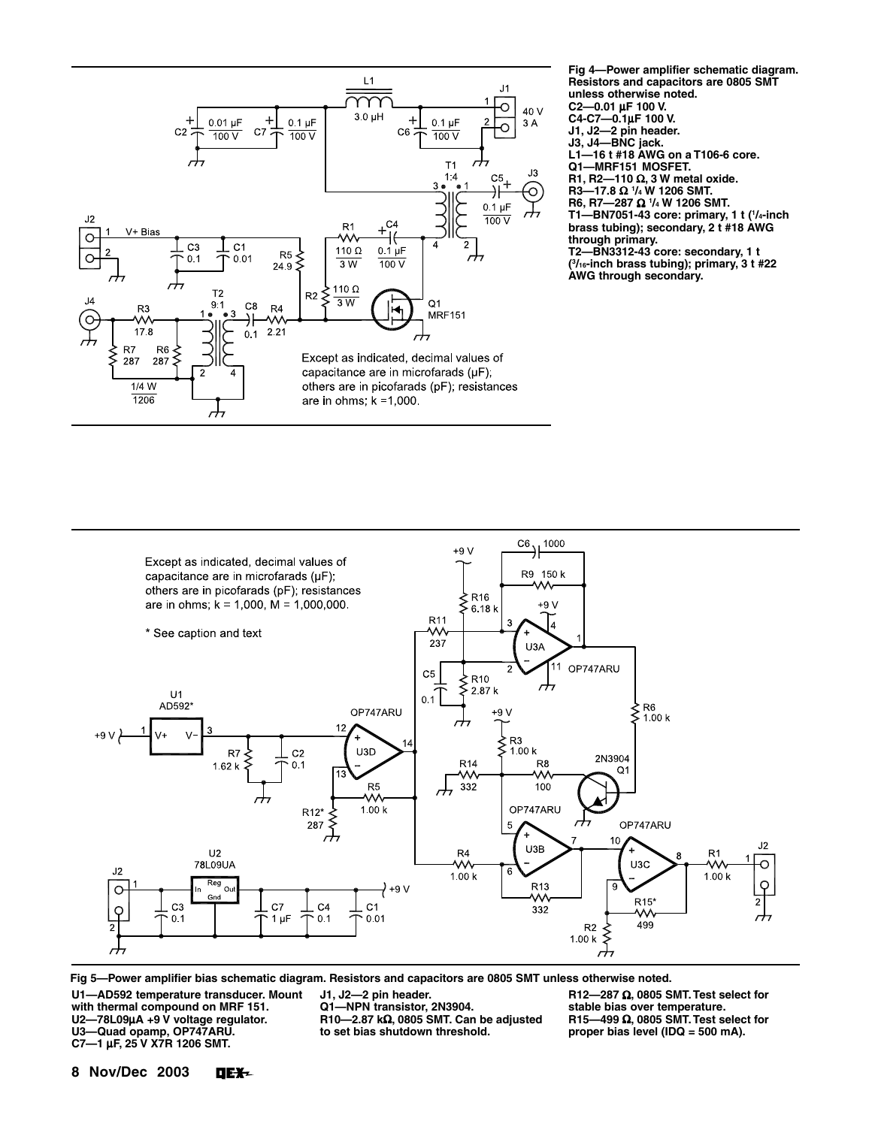

**Fig 4—Power amplifier schematic diagram. Resistors and capacitors are 0805 SMT unless otherwise noted. C2—0.01** μ**F 100 V. C4-C7—0.1**μ**F 100 V. J1, J2—2 pin header. J3, J4—BNC jack. L1—16 t #18 AWG on a T106-6 core. Q1—MRF151 MOSFET. R1, R2—110** Ω**, 3 W metal oxide. R3—17.8** Ω **<sup>1</sup> /4 W 1206 SMT. R6, R7—287** Ω **<sup>1</sup> /4 W 1206 SMT. T1—BN7051-43 core: primary, 1 t (1 /4-inch brass tubing); secondary, 2 t #18 AWG**

**through primary.**

**T2—BN3312-43 core: secondary, 1 t ( 3 /16-inch brass tubing); primary, 3 t #22 AWG through secondary.**



**Fig 5—Power amplifier bias schematic diagram. Resistors and capacitors are 0805 SMT unless otherwise noted.**

**U1—AD592 temperature transducer. Mount with thermal compound on MRF 151. U2—78L09**μ**A +9 V voltage regulator. U3—Quad opamp, OP747ARU. C7—1** μ**F, 25 V X7R 1206 SMT.**

**J1, J2—2 pin header. Q1—NPN transistor, 2N3904. R10—2.87 k**Ω**, 0805 SMT. Can be adjusted to set bias shutdown threshold.**

**R12—287** Ω**, 0805 SMT.Test select for stable bias over temperature. R15—499** Ω**, 0805 SMT.Test select for proper bias level (IDQ = 500 mA).**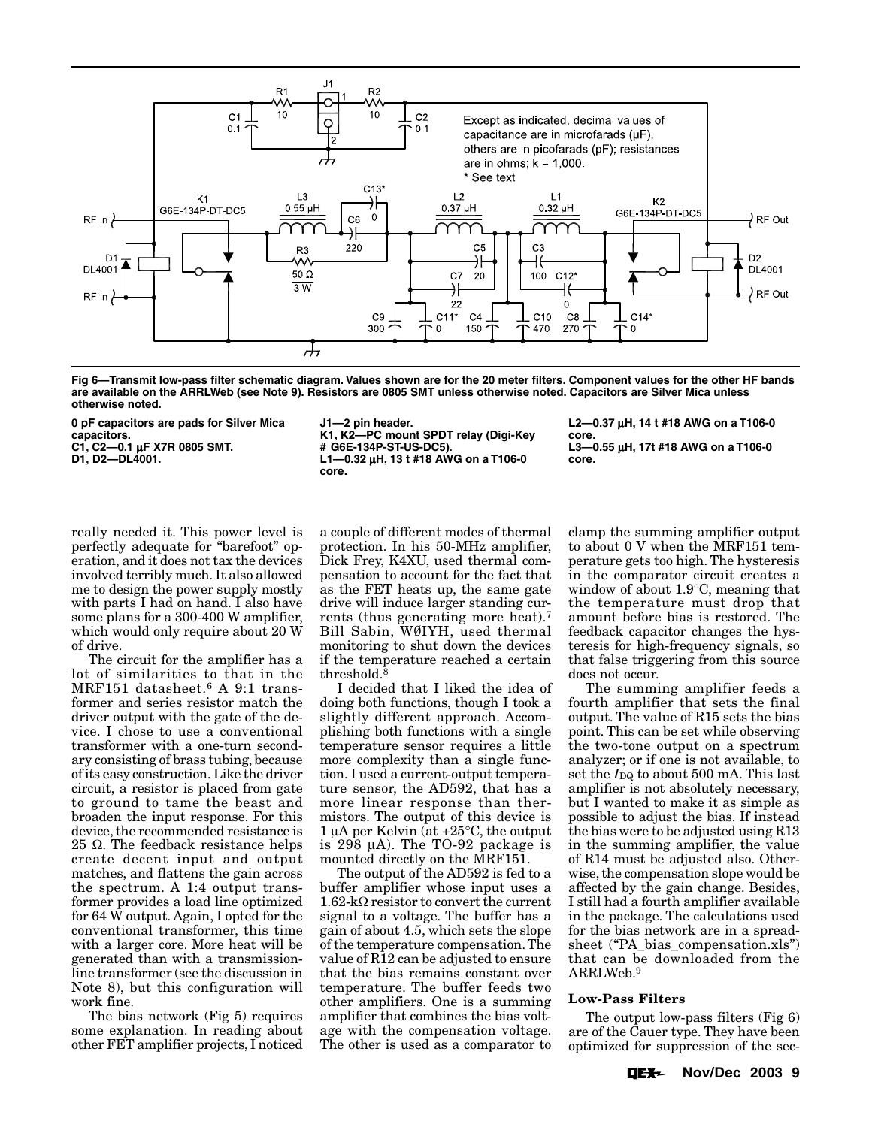

**Fig 6—Transmit low-pass filter schematic diagram. Values shown are for the 20 meter filters. Component values for the other HF bands are available on the ARRLWeb (see Note 9). Resistors are 0805 SMT unless otherwise noted. Capacitors are Silver Mica unless otherwise noted.**

**0 pF capacitors are pads for Silver Mica capacitors.**

**C1, C2—0.1** μ**F X7R 0805 SMT.**

**D1, D2—DL4001.**

**J1—2 pin header. K1, K2—PC mount SPDT relay (Digi-Key # G6E-134P-ST-US-DC5). L1—0.32** μ**H, 13 t #18 AWG on a T106-0 core.**

**L2—0.37** μ**H, 14 t #18 AWG on a T106-0 core. L3—0.55** μ**H, 17t #18 AWG on a T106-0 core.**

really needed it. This power level is perfectly adequate for "barefoot" operation, and it does not tax the devices involved terribly much. It also allowed me to design the power supply mostly with parts I had on hand. I also have some plans for a 300-400 W amplifier, which would only require about 20 W of drive.

The circuit for the amplifier has a lot of similarities to that in the MRF151 datasheet.6 A 9:1 transformer and series resistor match the driver output with the gate of the device. I chose to use a conventional transformer with a one-turn secondary consisting of brass tubing, because of its easy construction. Like the driver circuit, a resistor is placed from gate to ground to tame the beast and broaden the input response. For this device, the recommended resistance is 25  $\Omega$ . The feedback resistance helps create decent input and output matches, and flattens the gain across the spectrum. A 1:4 output transformer provides a load line optimized for 64 W output. Again, I opted for the conventional transformer, this time with a larger core. More heat will be generated than with a transmissionline transformer (see the discussion in Note 8), but this configuration will work fine.

The bias network (Fig 5) requires some explanation. In reading about other FET amplifier projects, I noticed

a couple of different modes of thermal protection. In his 50-MHz amplifier, Dick Frey, K4XU, used thermal compensation to account for the fact that as the FET heats up, the same gate drive will induce larger standing currents (thus generating more heat).7 Bill Sabin, WØIYH, used thermal monitoring to shut down the devices if the temperature reached a certain threshold.8

I decided that I liked the idea of doing both functions, though I took a slightly different approach. Accomplishing both functions with a single temperature sensor requires a little more complexity than a single function. I used a current-output temperature sensor, the AD592, that has a more linear response than thermistors. The output of this device is 1 μA per Kelvin (at +25°C, the output is 298 μA). The TO-92 package is mounted directly on the MRF151.

The output of the AD592 is fed to a buffer amplifier whose input uses a 1.62-kΩ resistor to convert the current signal to a voltage. The buffer has a gain of about 4.5, which sets the slope of the temperature compensation.The value of R12 can be adjusted to ensure that the bias remains constant over temperature. The buffer feeds two other amplifiers. One is a summing amplifier that combines the bias voltage with the compensation voltage. The other is used as a comparator to

clamp the summing amplifier output to about 0 V when the MRF151 temperature gets too high. The hysteresis in the comparator circuit creates a window of about 1.9°C, meaning that the temperature must drop that amount before bias is restored. The feedback capacitor changes the hysteresis for high-frequency signals, so that false triggering from this source does not occur.

The summing amplifier feeds a fourth amplifier that sets the final output. The value of R15 sets the bias point. This can be set while observing the two-tone output on a spectrum analyzer; or if one is not available, to set the  $I_{\text{DQ}}$  to about 500 mA. This last amplifier is not absolutely necessary, but I wanted to make it as simple as possible to adjust the bias. If instead the bias were to be adjusted using R13 in the summing amplifier, the value of R14 must be adjusted also. Otherwise, the compensation slope would be affected by the gain change. Besides, I still had a fourth amplifier available in the package. The calculations used for the bias network are in a spreadsheet ("PA\_bias\_compensation.xls") that can be downloaded from the ARRLWeb.9

### **Low-Pass Filters**

The output low-pass filters (Fig 6) are of the Cauer type. They have been optimized for suppression of the sec-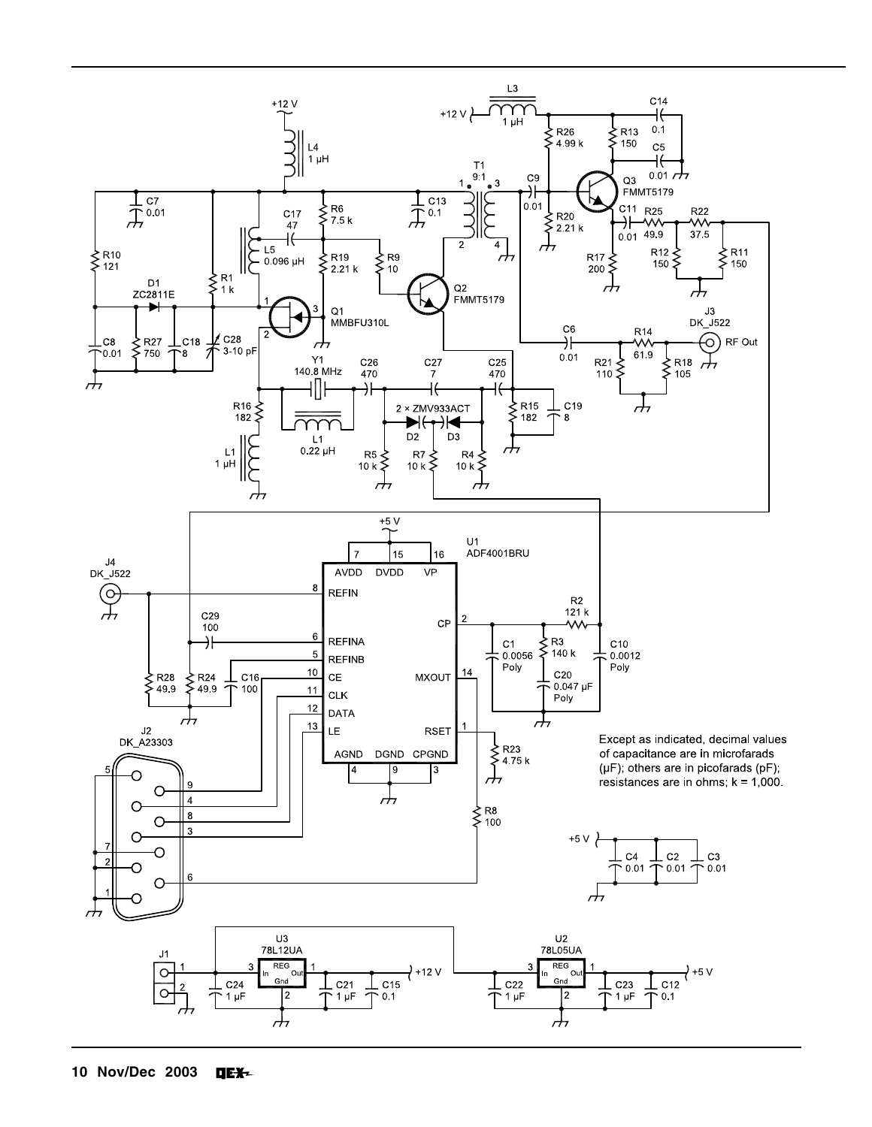